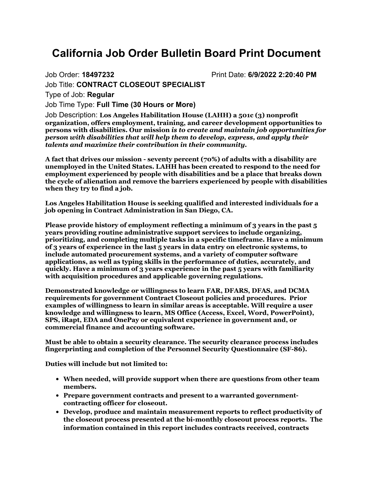## **California Job Order Bulletin Board Print Document**

Job Order: **18497232** Print Date: **6/9/2022 2:20:40 PM**

Job Title: **CONTRACT CLOSEOUT SPECIALIST**

Type of Job: **Regular**

Job Time Type: **Full Time (30 Hours or More)**

Job Description: **Los Angeles Habilitation House (LAHH) a 501c (3) nonprofit organization, offers employment, training, and career development opportunities to persons with disabilities. Our mission** *is to create and maintain job opportunities for person with disabilities that will help them to develop, express, and apply their talents and maximize their contribution in their community.*

**A fact that drives our mission - seventy percent (70%) of adults with a disability are unemployed in the United States. LAHH has been created to respond to the need for employment experienced by people with disabilities and be a place that breaks down the cycle of alienation and remove the barriers experienced by people with disabilities when they try to find a job.**

**Los Angeles Habilitation House is seeking qualified and interested individuals for a job opening in Contract Administration in San Diego, CA.**

**Please provide history of employment reflecting a minimum of 3 years in the past 5 years providing routine administrative support services to include organizing, prioritizing, and completing multiple tasks in a specific timeframe. Have a minimum of 3 years of experience in the last 5 years in data entry on electronic systems, to include automated procurement systems, and a variety of computer software applications, as well as typing skills in the performance of duties, accurately, and quickly. Have a minimum of 3 years experience in the past 5 years with familiarity with acquisition procedures and applicable governing regulations.**

**Demonstrated knowledge or willingness to learn FAR, DFARS, DFAS, and DCMA requirements for government Contract Closeout policies and procedures. Prior examples of willingness to learn in similar areas is acceptable. Will require a user knowledge and willingness to learn, MS Office (Access, Excel, Word, PowerPoint), SPS, iRapt, EDA and OnePay or equivalent experience in government and, or commercial finance and accounting software.**

**Must be able to obtain a security clearance. The security clearance process includes fingerprinting and completion of the Personnel Security Questionnaire (SF-86).**

**Duties will include but not limited to:**

- **When needed, will provide support when there are questions from other team members.**
- **Prepare government contracts and present to a warranted governmentcontracting officer for closeout.**
- **Develop, produce and maintain measurement reports to reflect productivity of the closeout process presented at the bi-monthly closeout process reports. The information contained in this report includes contracts received, contracts**